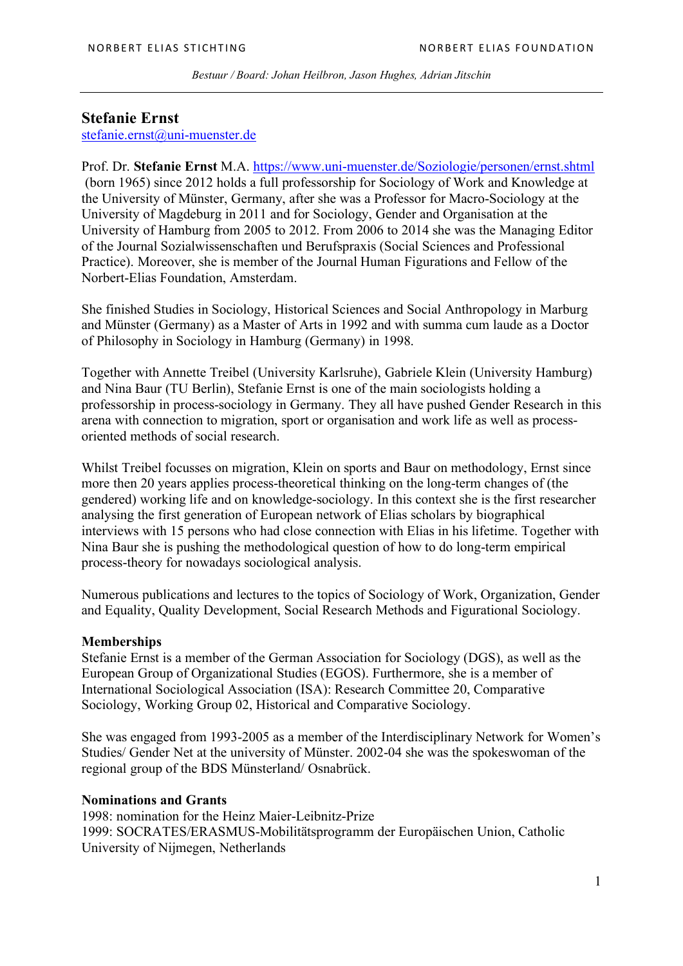### **Stefanie Ernst**

stefanie.ernst@uni-muenster.de

Prof. Dr. **Stefanie Ernst** M.A. https://www.uni-muenster.de/Soziologie/personen/ernst.shtml (born 1965) since 2012 holds a full professorship for Sociology of Work and Knowledge at the University of Münster, Germany, after she was a Professor for Macro-Sociology at the University of Magdeburg in 2011 and for Sociology, Gender and Organisation at the University of Hamburg from 2005 to 2012. From 2006 to 2014 she was the Managing Editor of the Journal Sozialwissenschaften und Berufspraxis (Social Sciences and Professional Practice). Moreover, she is member of the Journal Human Figurations and Fellow of the Norbert-Elias Foundation, Amsterdam.

She finished Studies in Sociology, Historical Sciences and Social Anthropology in Marburg and Münster (Germany) as a Master of Arts in 1992 and with summa cum laude as a Doctor of Philosophy in Sociology in Hamburg (Germany) in 1998.

Together with Annette Treibel (University Karlsruhe), Gabriele Klein (University Hamburg) and Nina Baur (TU Berlin), Stefanie Ernst is one of the main sociologists holding a professorship in process-sociology in Germany. They all have pushed Gender Research in this arena with connection to migration, sport or organisation and work life as well as processoriented methods of social research.

Whilst Treibel focusses on migration, Klein on sports and Baur on methodology, Ernst since more then 20 years applies process-theoretical thinking on the long-term changes of (the gendered) working life and on knowledge-sociology. In this context she is the first researcher analysing the first generation of European network of Elias scholars by biographical interviews with 15 persons who had close connection with Elias in his lifetime. Together with Nina Baur she is pushing the methodological question of how to do long-term empirical process-theory for nowadays sociological analysis.

Numerous publications and lectures to the topics of Sociology of Work, Organization, Gender and Equality, Quality Development, Social Research Methods and Figurational Sociology.

### **Memberships**

Stefanie Ernst is a member of the German Association for Sociology (DGS), as well as the European Group of Organizational Studies (EGOS). Furthermore, she is a member of International Sociological Association (ISA): Research Committee 20, Comparative Sociology, Working Group 02, Historical and Comparative Sociology.

She was engaged from 1993-2005 as a member of the Interdisciplinary Network for Women's Studies/ Gender Net at the university of Münster. 2002-04 she was the spokeswoman of the regional group of the BDS Münsterland/ Osnabrück.

### **Nominations and Grants**

1998: nomination for the Heinz Maier-Leibnitz-Prize 1999: SOCRATES/ERASMUS-Mobilitätsprogramm der Europäischen Union, Catholic University of Nijmegen, Netherlands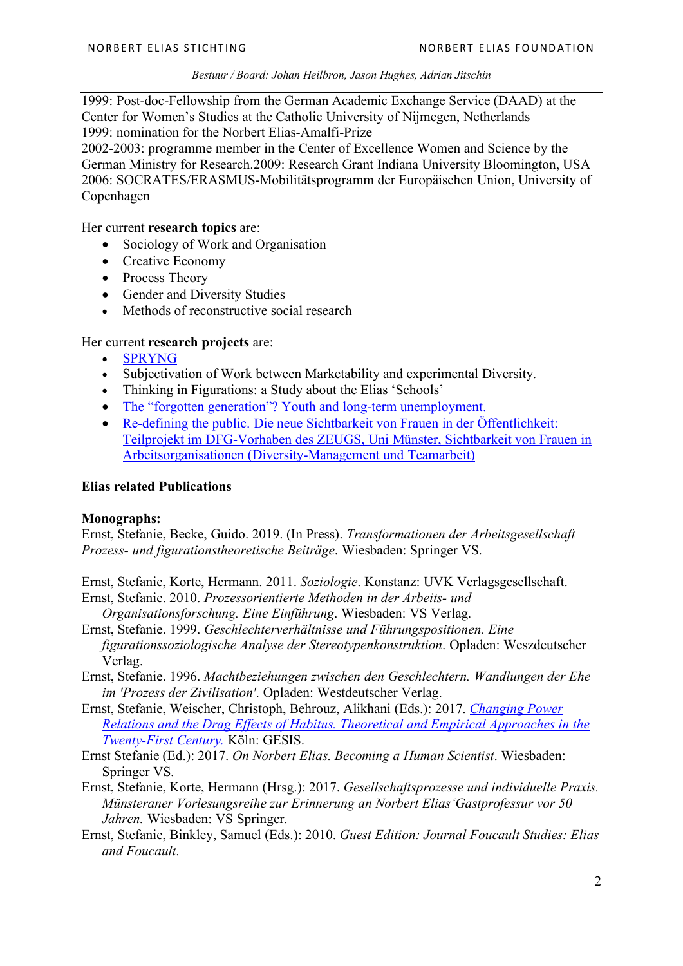1999: Post-doc-Fellowship from the German Academic Exchange Service (DAAD) at the Center for Women's Studies at the Catholic University of Nijmegen, Netherlands 1999: nomination for the Norbert Elias-Amalfi-Prize

2002-2003: programme member in the Center of Excellence Women and Science by the German Ministry for Research.2009: Research Grant Indiana University Bloomington, USA 2006: SOCRATES/ERASMUS-Mobilitätsprogramm der Europäischen Union, University of Copenhagen

Her current **research topics** are:

- Sociology of Work and Organisation
- Creative Economy
- Process Theory
- Gender and Diversity Studies
- Methods of reconstructive social research

#### Her current **research projects** are:

- SPRYNG
- Subjectivation of Work between Marketability and experimental Diversity.
- Thinking in Figurations: a Study about the Elias 'Schools'
- The "forgotten generation"? Youth and long-term unemployment.
- Re-defining the public. Die neue Sichtbarkeit von Frauen in der Öffentlichkeit: Teilprojekt im DFG-Vorhaben des ZEUGS, Uni Münster, Sichtbarkeit von Frauen in Arbeitsorganisationen (Diversity-Management und Teamarbeit)

#### **Elias related Publications**

#### **Monographs:**

Ernst, Stefanie, Becke, Guido. 2019. (In Press). *Transformationen der Arbeitsgesellschaft Prozess- und figurationstheoretische Beiträge*. Wiesbaden: Springer VS.

Ernst, Stefanie, Korte, Hermann. 2011. *Soziologie*. Konstanz: UVK Verlagsgesellschaft.

- Ernst, Stefanie. 2010. *Prozessorientierte Methoden in der Arbeits- und Organisationsforschung. Eine Einführung*. Wiesbaden: VS Verlag.
- Ernst, Stefanie. 1999. *Geschlechterverhältnisse und Führungspositionen. Eine figurationssoziologische Analyse der Stereotypenkonstruktion*. Opladen: Weszdeutscher Verlag.
- Ernst, Stefanie. 1996. *Machtbeziehungen zwischen den Geschlechtern. Wandlungen der Ehe im 'Prozess der Zivilisation'*. Opladen: Westdeutscher Verlag.
- Ernst, Stefanie, Weischer, Christoph, Behrouz, Alikhani (Eds.): 2017. *Changing Power Relations and the Drag Effects of Habitus. Theoretical and Empirical Approaches in the Twenty-First Century.* Köln: GESIS.
- Ernst Stefanie (Ed.): 2017. *On Norbert Elias. Becoming a Human Scientist*. Wiesbaden: Springer VS.
- Ernst, Stefanie, Korte, Hermann (Hrsg.): 2017. *Gesellschaftsprozesse und individuelle Praxis. Münsteraner Vorlesungsreihe zur Erinnerung an Norbert Elias'Gastprofessur vor 50 Jahren.* Wiesbaden: VS Springer.
- Ernst, Stefanie, Binkley, Samuel (Eds.): 2010. *Guest Edition: Journal Foucault Studies: Elias and Foucault*.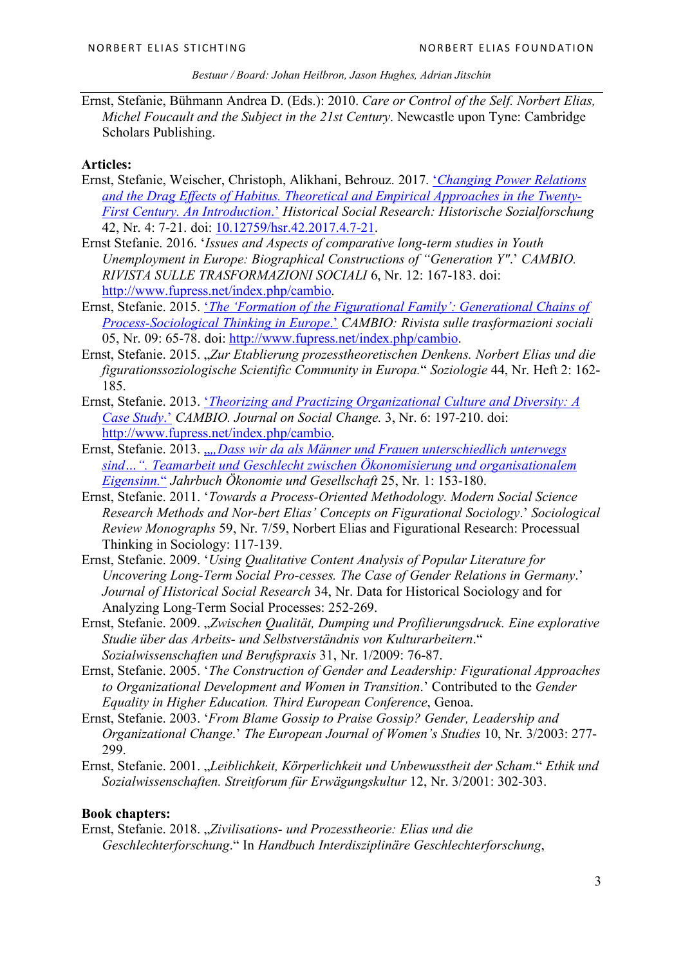Ernst, Stefanie, Bühmann Andrea D. (Eds.): 2010. *Care or Control of the Self. Norbert Elias, Michel Foucault and the Subject in the 21st Century*. Newcastle upon Tyne: Cambridge Scholars Publishing.

## **Articles:**

- Ernst, Stefanie, Weischer, Christoph, Alikhani, Behrouz. 2017. '*Changing Power Relations and the Drag Effects of Habitus. Theoretical and Empirical Approaches in the Twenty-First Century. An Introduction*.' *Historical Social Research: Historische Sozialforschung* 42, Nr. 4: 7-21. doi: 10.12759/hsr.42.2017.4.7-21.
- Ernst Stefanie. 2016. '*Issues and Aspects of comparative long-term studies in Youth Unemployment in Europe: Biographical Constructions of "Generation Y"*.' *CAMBIO. RIVISTA SULLE TRASFORMAZIONI SOCIALI* 6, Nr. 12: 167-183. doi: http://www.fupress.net/index.php/cambio.
- Ernst, Stefanie. 2015. '*The 'Formation of the Figurational Family': Generational Chains of Process-Sociological Thinking in Europe*.' *CAMBIO: Rivista sulle trasformazioni sociali* 05, Nr. 09: 65-78. doi: http://www.fupress.net/index.php/cambio.
- Ernst, Stefanie. 2015. "*Zur Etablierung prozesstheoretischen Denkens. Norbert Elias und die figurationssoziologische Scientific Community in Europa.*" *Soziologie* 44, Nr. Heft 2: 162- 185.
- Ernst, Stefanie. 2013. '*Theorizing and Practizing Organizational Culture and Diversity: A Case Study*.' *CAMBIO. Journal on Social Change.* 3, Nr. 6: 197-210. doi: http://www.fupress.net/index.php/cambio.
- Ernst, Stefanie. 2013. "*"Dass wir da als Männer und Frauen unterschiedlich unterwegs sind…". Teamarbeit und Geschlecht zwischen Ökonomisierung und organisationalem Eigensinn.*" *Jahrbuch Ökonomie und Gesellschaft* 25, Nr. 1: 153-180.
- Ernst, Stefanie. 2011. '*Towards a Process-Oriented Methodology. Modern Social Science Research Methods and Nor-bert Elias' Concepts on Figurational Sociology*.' *Sociological Review Monographs* 59, Nr. 7/59, Norbert Elias and Figurational Research: Processual Thinking in Sociology: 117-139.
- Ernst, Stefanie. 2009. '*Using Qualitative Content Analysis of Popular Literature for Uncovering Long-Term Social Pro-cesses. The Case of Gender Relations in Germany*.' *Journal of Historical Social Research* 34, Nr. Data for Historical Sociology and for Analyzing Long-Term Social Processes: 252-269.
- Ernst, Stefanie. 2009. "Zwischen Qualität, Dumping und Profilierungsdruck. Eine explorative *Studie über das Arbeits- und Selbstverständnis von Kulturarbeitern*." *Sozialwissenschaften und Berufspraxis* 31, Nr. 1/2009: 76-87.
- Ernst, Stefanie. 2005. '*The Construction of Gender and Leadership: Figurational Approaches to Organizational Development and Women in Transition*.' Contributed to the *Gender Equality in Higher Education. Third European Conference*, Genoa.
- Ernst, Stefanie. 2003. '*From Blame Gossip to Praise Gossip? Gender, Leadership and Organizational Change*.' *The European Journal of Women's Studies* 10, Nr. 3/2003: 277- 299.
- Ernst, Stefanie. 2001. "*Leiblichkeit, Körperlichkeit und Unbewusstheit der Scham*." *Ethik und Sozialwissenschaften. Streitforum für Erwägungskultur* 12, Nr. 3/2001: 302-303.

# **Book chapters:**

Ernst, Stefanie. 2018. "*Zivilisations- und Prozesstheorie: Elias und die Geschlechterforschung*." In *Handbuch Interdisziplinäre Geschlechterforschung*,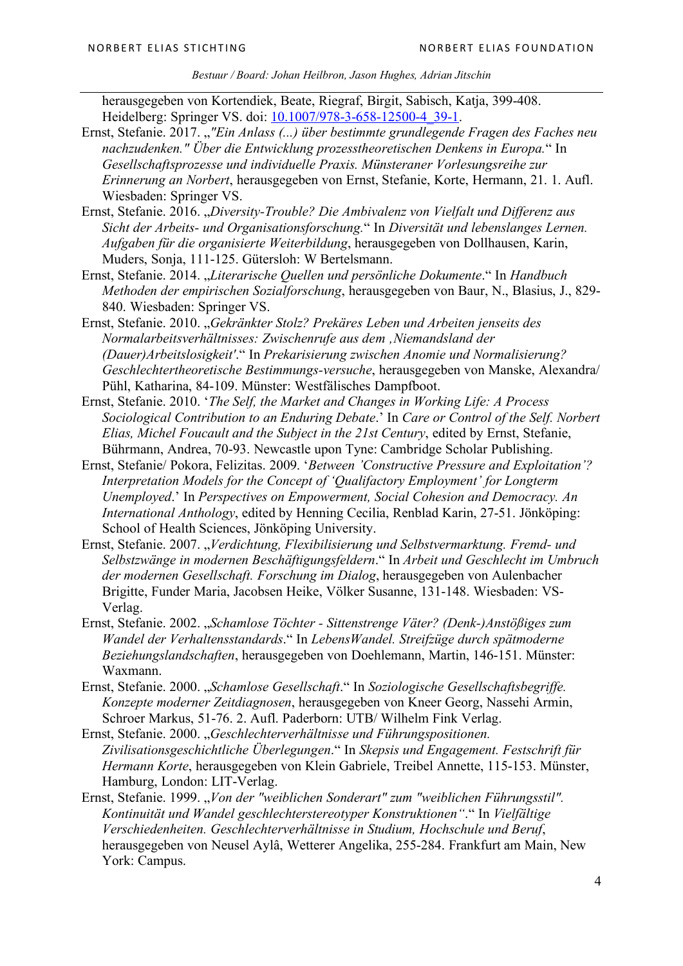herausgegeben von Kortendiek, Beate, Riegraf, Birgit, Sabisch, Katja, 399-408. Heidelberg: Springer VS. doi: 10.1007/978-3-658-12500-4 39-1.

- Ernst, Stefanie. 2017. "*"Ein Anlass (...) über bestimmte grundlegende Fragen des Faches neu nachzudenken." Über die Entwicklung prozesstheoretischen Denkens in Europa.*" In *Gesellschaftsprozesse und individuelle Praxis. Münsteraner Vorlesungsreihe zur Erinnerung an Norbert*, herausgegeben von Ernst, Stefanie, Korte, Hermann, 21. 1. Aufl. Wiesbaden: Springer VS.
- Ernst, Stefanie. 2016. "*Diversity-Trouble? Die Ambivalenz von Vielfalt und Differenz aus Sicht der Arbeits- und Organisationsforschung.*" In *Diversität und lebenslanges Lernen. Aufgaben für die organisierte Weiterbildung*, herausgegeben von Dollhausen, Karin, Muders, Sonja, 111-125. Gütersloh: W Bertelsmann.
- Ernst, Stefanie. 2014. "*Literarische Quellen und persönliche Dokumente*." In *Handbuch Methoden der empirischen Sozialforschung*, herausgegeben von Baur, N., Blasius, J., 829- 840. Wiesbaden: Springer VS.
- Ernst, Stefanie. 2010. "*Gekränkter Stolz? Prekäres Leben und Arbeiten jenseits des Normalarbeitsverhältnisses: Zwischenrufe aus dem 'Niemandsland der (Dauer)Arbeitslosigkeit'*." In *Prekarisierung zwischen Anomie und Normalisierung? Geschlechtertheoretische Bestimmungs-versuche*, herausgegeben von Manske, Alexandra/ Pühl, Katharina, 84-109. Münster: Westfälisches Dampfboot.
- Ernst, Stefanie. 2010. '*The Self, the Market and Changes in Working Life: A Process Sociological Contribution to an Enduring Debate*.' In *Care or Control of the Self. Norbert Elias, Michel Foucault and the Subject in the 21st Century*, edited by Ernst, Stefanie, Bührmann, Andrea, 70-93. Newcastle upon Tyne: Cambridge Scholar Publishing.
- Ernst, Stefanie/ Pokora, Felizitas. 2009. '*Between 'Constructive Pressure and Exploitation'? Interpretation Models for the Concept of 'Qualifactory Employment' for Longterm Unemployed*.' In *Perspectives on Empowerment, Social Cohesion and Democracy. An International Anthology*, edited by Henning Cecilia, Renblad Karin, 27-51. Jönköping: School of Health Sciences, Jönköping University.
- Ernst, Stefanie. 2007. "*Verdichtung, Flexibilisierung und Selbstvermarktung. Fremd- und Selbstzwänge in modernen Beschäftigungsfeldern*." In *Arbeit und Geschlecht im Umbruch der modernen Gesellschaft. Forschung im Dialog*, herausgegeben von Aulenbacher Brigitte, Funder Maria, Jacobsen Heike, Völker Susanne, 131-148. Wiesbaden: VS-Verlag.
- Ernst, Stefanie. 2002. "*Schamlose Töchter - Sittenstrenge Väter? (Denk-)Anstößiges zum Wandel der Verhaltensstandards*." In *LebensWandel. Streifzüge durch spätmoderne Beziehungslandschaften*, herausgegeben von Doehlemann, Martin, 146-151. Münster: Waxmann.
- Ernst, Stefanie. 2000. "*Schamlose Gesellschaft*." In *Soziologische Gesellschaftsbegriffe. Konzepte moderner Zeitdiagnosen*, herausgegeben von Kneer Georg, Nassehi Armin, Schroer Markus, 51-76. 2. Aufl. Paderborn: UTB/ Wilhelm Fink Verlag.
- Ernst, Stefanie. 2000. "*Geschlechterverhältnisse und Führungspositionen. Zivilisationsgeschichtliche Überlegungen*." In *Skepsis und Engagement. Festschrift für Hermann Korte*, herausgegeben von Klein Gabriele, Treibel Annette, 115-153. Münster, Hamburg, London: LIT-Verlag.
- Ernst, Stefanie. 1999. "*Von der "weiblichen Sonderart" zum "weiblichen Führungsstil"*. *Kontinuität und Wandel geschlechterstereotyper Konstruktionen"*." In *Vielfältige Verschiedenheiten. Geschlechterverhältnisse in Studium, Hochschule und Beruf*, herausgegeben von Neusel Aylâ, Wetterer Angelika, 255-284. Frankfurt am Main, New York: Campus.